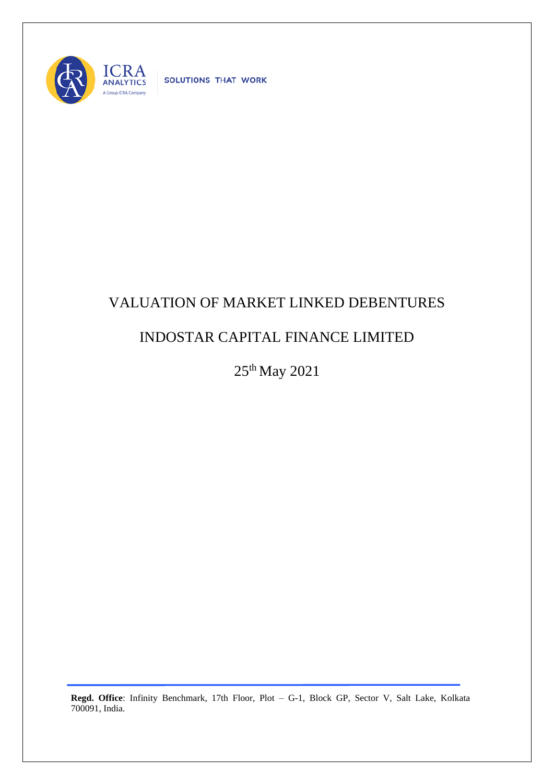

SOLUTIONS THAT WORK

## VALUATION OF MARKET LINKED DEBENTURES

## INDOSTAR CAPITAL FINANCE LIMITED

25th May 2021

**Regd. Office**: Infinity Benchmark, 17th Floor, Plot – G-1, Block GP, Sector V, Salt Lake, Kolkata 700091, India.